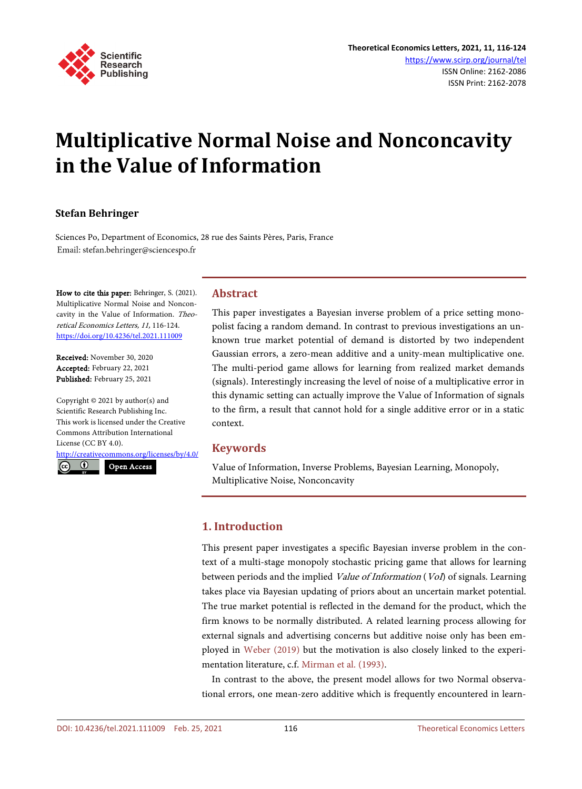

# **Multiplicative Normal Noise and Nonconcavity in the Value of Information**

# **Stefan Behringer**

Sciences Po, Department of Economics, 28 rue des Saints Pères, Paris, France Email: stefan.behringer@sciencespo.fr

How to cite this paper: Behringer, S. (2021). Multiplicative Normal Noise and Nonconcavity in the Value of Information. Theoretical Economics Letters, 11, 116-124. <https://doi.org/10.4236/tel.2021.111009>

Received: November 30, 2020 Accepted: February 22, 2021 Published: February 25, 2021

Copyright © 2021 by author(s) and Scientific Research Publishing Inc. This work is licensed under the Creative Commons Attribution International License (CC BY 4.0).

<http://creativecommons.org/licenses/by/4.0/>

 $\odot$ Open Access

## **Abstract**

This paper investigates a Bayesian inverse problem of a price setting monopolist facing a random demand. In contrast to previous investigations an unknown true market potential of demand is distorted by two independent Gaussian errors, a zero-mean additive and a unity-mean multiplicative one. The multi-period game allows for learning from realized market demands (signals). Interestingly increasing the level of noise of a multiplicative error in this dynamic setting can actually improve the Value of Information of signals to the firm, a result that cannot hold for a single additive error or in a static context.

# **Keywords**

Value of Information, Inverse Problems, Bayesian Learning, Monopoly, Multiplicative Noise, Nonconcavity

# **1. Introduction**

This present paper investigates a specific Bayesian inverse problem in the context of a multi-stage monopoly stochastic pricing game that allows for learning between periods and the implied Value of Information (Vol) of signals. Learning takes place via Bayesian updating of priors about an uncertain market potential. The true market potential is reflected in the demand for the product, which the firm knows to be normally distributed. A related learning process allowing for external signals and advertising concerns but additive noise only has been employed in [Weber \(2019\)](#page-8-0) but the motivation is also closely linked to the experimentation literature, c.f[. Mirman et al. \(1993\).](#page-8-1)

In contrast to the above, the present model allows for two Normal observational errors, one mean-zero additive which is frequently encountered in learn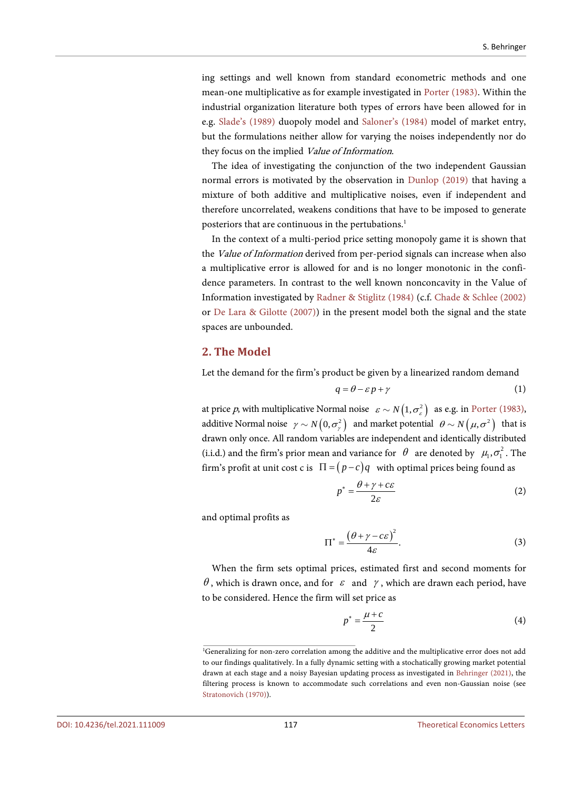ing settings and well known from standard econometric methods and one mean-one multiplicative as for example investigated in [Porter \(1983\).](#page-8-2) Within the industrial organization literature both types of errors have been allowed for in e.g. [Slade's \(1989\)](#page-8-3) duopoly model and [Saloner's \(1984\)](#page-8-4) model of market entry, but the formulations neither allow for varying the noises independently nor do they focus on the implied Value of Information.

The idea of investigating the conjunction of the two independent Gaussian normal errors is motivated by the observation in [Dunlop \(2019\)](#page-8-5) that having a mixture of both additive and multiplicative noises, even if independent and therefore uncorrelated, weakens conditions that have to be imposed to generate posteriors that are continuous in the pertubations.<sup>1</sup>

In the context of a multi-period price setting monopoly game it is shown that the Value of Information derived from per-period signals can increase when also a multiplicative error is allowed for and is no longer monotonic in the confidence parameters. In contrast to the well known nonconcavity in the Value of Information investigated by [Radner & Stiglitz \(1984\)](#page-8-6) (c.f. [Chade & Schlee \(2002\)](#page-8-7) or [De Lara & Gilotte \(2007\)\)](#page-8-8) in the present model both the signal and the state spaces are unbounded.

#### **2. The Model**

Let the demand for the firm's product be given by a linearized random demand

$$
q = \theta - \varepsilon p + \gamma \tag{1}
$$

at price p, with multiplicative Normal noise  $\varepsilon \sim N(1, \sigma_{\varepsilon}^2)$  as e.g. in Porter (1983), additive Normal noise  $\gamma \sim N(0, \sigma_{\gamma}^2)$  and market potential  $\theta \sim N(\mu, \sigma^2)$  that is drawn only once. All random variables are independent and identically distributed (i.i.d.) and the firm's prior mean and variance for  $\theta$  are denoted by  $\mu_1, \sigma_1^2$ . The firm's profit at unit cost c is  $\Pi = (p - c)q$  with optimal prices being found as

$$
p^* = \frac{\theta + \gamma + c\varepsilon}{2\varepsilon} \tag{2}
$$

and optimal profits as

$$
\Pi^* = \frac{\left(\theta + \gamma - c\varepsilon\right)^2}{4\varepsilon}.
$$
\n(3)

When the firm sets optimal prices, estimated first and second moments for θ, which is drawn once, and for  $ε$  and  $γ$ , which are drawn each period, have to be considered. Hence the firm will set price as

$$
p^* = \frac{\mu + c}{2} \tag{4}
$$

<sup>1</sup> Generalizing for non-zero correlation among the additive and the multiplicative error does not add to our findings qualitatively. In a fully dynamic setting with a stochatically growing market potential drawn at each stage and a noisy Bayesian updating process as investigated in [Behringer \(2021\),](#page-8-9) the filtering process is known to accommodate such correlations and even non-Gaussian noise (see [Stratonovich \(1970\)\)](#page-8-10).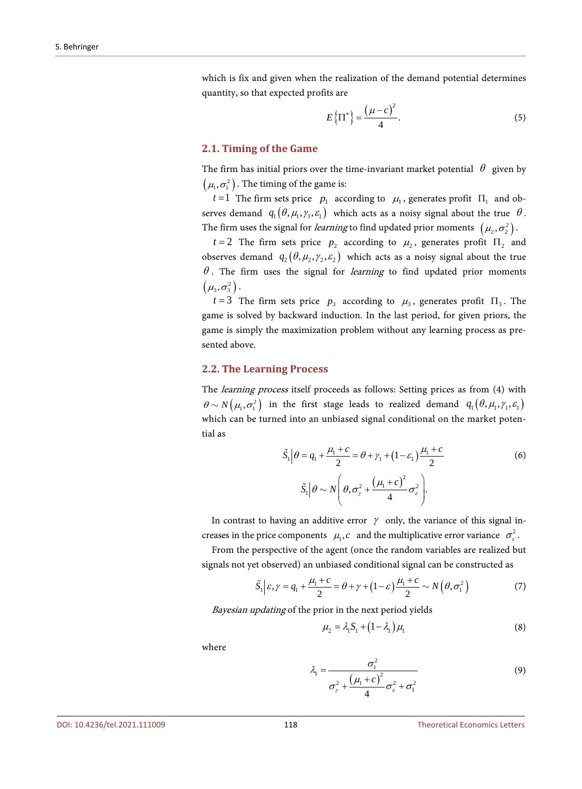which is fix and given when the realization of the demand potential determines quantity, so that expected profits are

$$
E\left\{\Pi^*\right\} = \frac{\left(\mu - c\right)^2}{4}.\tag{5}
$$

#### **2.1. Timing of the Game**

The firm has initial priors over the time-invariant market potential  $\theta$  given by  $\left( \mu _{_{\rm I}} , \sigma _{_{\rm I}} ^{_{\rm 2}} \right) .$  The timing of the game is:

*t* = 1 The firm sets price  $p_1$  according to  $\mu_1$ , generates profit  $\Pi_1$  and observes demand  $q_1(\theta, \mu_1, \gamma_1, \varepsilon_1)$  which acts as a noisy signal about the true  $\theta$ . The firm uses the signal for *learning* to find updated prior moments  $(\mu_2, \sigma_2^2)$ .

 $t = 2$  The firm sets price  $p_2$  according to  $\mu_2$ , generates profit  $\Pi_2$  and observes demand  $q_2(\theta, \mu_2, \gamma_2, \varepsilon_2)$  which acts as a noisy signal about the true  $\theta$ . The firm uses the signal for *learning* to find updated prior moments  $\left( \mu _{3},\sigma _{3}^{2}\right) .$ 

 $t = 3$  The firm sets price  $p_3$  according to  $\mu_3$ , generates profit  $\Pi_3$ . The game is solved by backward induction. In the last period, for given priors, the game is simply the maximization problem without any learning process as presented above.

#### **2.2. The Learning Process**

The *learning process* itself proceeds as follows: Setting prices as from (4) with  $\theta \sim N(\mu_{1}, \sigma_{1}^{2})$  in the first stage leads to realized demand  $q_{1}(\theta, \mu_{1}, \gamma_{1}, \varepsilon_{1})$ which can be turned into an unbiased signal conditional on the market potential as

$$
\tilde{S}_1 \Big| \theta = q_1 + \frac{\mu_1 + c}{2} = \theta + \gamma_1 + (1 - \varepsilon_1) \frac{\mu_1 + c}{2}
$$
\n
$$
\tilde{S}_1 \Big| \theta \sim N \Bigg( \theta, \sigma_\gamma^2 + \frac{(\mu_1 + c)^2}{4} \sigma_\varepsilon^2 \Bigg).
$$
\n(6)

In contrast to having an additive error  $\gamma$  only, the variance of this signal increases in the price components  $\mu_1, c$  and the multiplicative error variance  $\sigma_s^2$ .

From the perspective of the agent (once the random variables are realized but signals not yet observed) an unbiased conditional signal can be constructed as

$$
\widetilde{S}_1 \Big| \varepsilon, \gamma = q_1 + \frac{\mu_1 + c}{2} = \theta + \gamma + (1 - \varepsilon) \frac{\mu_1 + c}{2} \sim N\left(\theta, \sigma_1^2\right) \tag{7}
$$

Bayesian updating of the prior in the next period yields

$$
\mu_2 = \lambda_1 S_1 + (1 - \lambda_1) \mu_1 \tag{8}
$$

where

$$
\lambda_1 = \frac{\sigma_1^2}{\sigma_\gamma^2 + \frac{(\mu_1 + c)^2}{4} \sigma_\varepsilon^2 + \sigma_1^2}
$$
\n(9)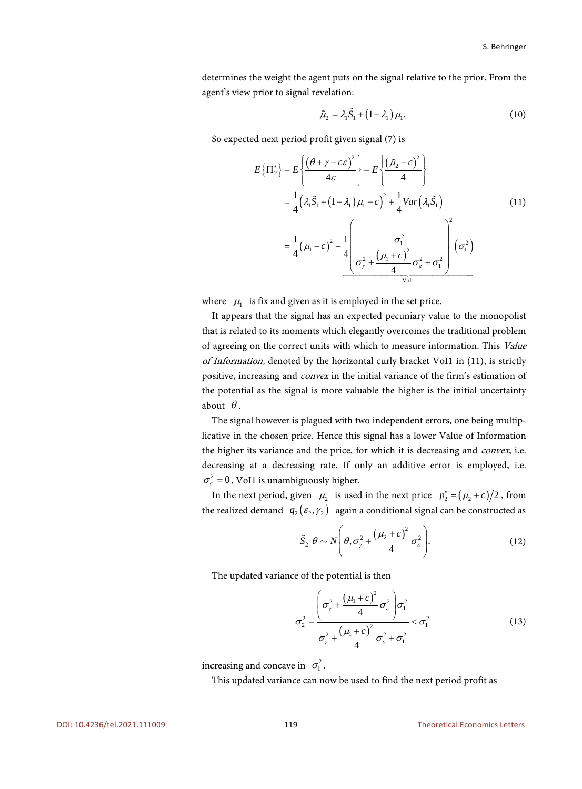determines the weight the agent puts on the signal relative to the prior. From the agent's view prior to signal revelation:

$$
\tilde{\mu}_2 = \lambda_1 \tilde{S}_1 + (1 - \lambda_1) \mu_1. \tag{10}
$$

So expected next period profit given signal (7) is

$$
E\left\{\Pi_{2}^{*}\right\} = E\left\{\frac{\left(\theta + \gamma - c\varepsilon\right)^{2}}{4\varepsilon}\right\} = E\left\{\frac{\left(\tilde{\mu}_{2} - c\right)^{2}}{4}\right\}
$$

$$
= \frac{1}{4}\left(\lambda_{1}\tilde{S}_{1} + \left(1 - \lambda_{1}\right)\mu_{1} - c\right)^{2} + \frac{1}{4}Var\left(\lambda_{1}\tilde{S}_{1}\right)
$$

$$
= \frac{1}{4}\left(\mu_{1} - c\right)^{2} + \frac{1}{4}\left[\frac{\sigma_{1}^{2}}{\sigma_{\gamma}^{2} + \frac{\left(\mu_{1} + c\right)^{2}}{4}\sigma_{\varepsilon}^{2} + \sigma_{1}^{2}}\right] \left(\sigma_{1}^{2}\right)
$$
(11)

where  $\mu_1$  is fix and given as it is employed in the set price.

It appears that the signal has an expected pecuniary value to the monopolist that is related to its moments which elegantly overcomes the traditional problem of agreeing on the correct units with which to measure information. This Value of Information, denoted by the horizontal curly bracket VoI1 in (11), is strictly positive, increasing and convex in the initial variance of the firm's estimation of the potential as the signal is more valuable the higher is the initial uncertainty about  $\theta$ .

The signal however is plagued with two independent errors, one being multiplicative in the chosen price. Hence this signal has a lower Value of Information the higher its variance and the price, for which it is decreasing and *convex*, i.e. decreasing at a decreasing rate. If only an additive error is employed, i.e.  $\sigma_{\rm s}^2 = 0$ , VoI1 is unambiguously higher.

In the next period, given  $\mu_2$  is used in the next price  $p_2^* = (\mu_2 + c)/2$ , from the realized demand  $q_2(\varepsilon_2, \gamma_2)$  again a conditional signal can be constructed as

$$
\tilde{S}_2 \Big| \theta \sim N \Bigg( \theta, \sigma_{\gamma}^2 + \frac{(\mu_2 + c)^2}{4} \sigma_{\varepsilon}^2 \Bigg). \tag{12}
$$

The updated variance of the potential is then

$$
\sigma_2^2 = \frac{\left(\sigma_\gamma^2 + \frac{(\mu_1 + c)^2}{4} \sigma_\varepsilon^2\right) \sigma_1^2}{\sigma_\gamma^2 + \frac{(\mu_1 + c)^2}{4} \sigma_\varepsilon^2 + \sigma_1^2} < \sigma_1^2
$$
(13)

increasing and concave in  $\sigma_1^2$ .

This updated variance can now be used to find the next period profit as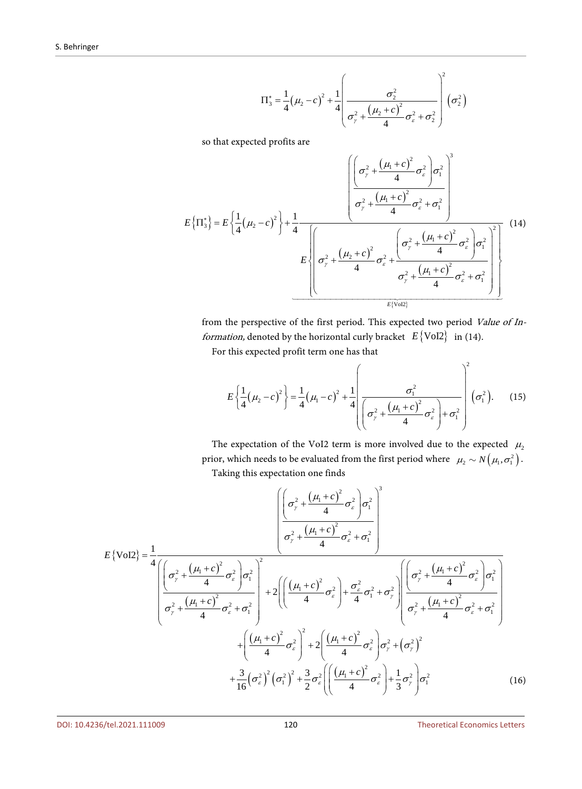$$
\Pi_{3}^{*} = \frac{1}{4} (\mu_{2} - c)^{2} + \frac{1}{4} \left( \frac{\sigma_{2}^{2}}{\sigma_{\gamma}^{2} + \frac{(\mu_{2} + c)^{2}}{4} \sigma_{\epsilon}^{2} + \sigma_{2}^{2}} \right)^{2} (\sigma_{2}^{2})
$$

so that expected profits are

$$
E\left\{\Pi_{3}^{*}\right\} = E\left\{\frac{1}{4}\left(\mu_{2}-c\right)^{2}\right\} + \frac{1}{4}\frac{\left[\left(\sigma_{\gamma}^{2} + \frac{\left(\mu_{1}+c\right)^{2}}{4}\sigma_{\varepsilon}^{2}\right)\sigma_{1}^{2}\right]}{\sigma_{\gamma}^{2} + \frac{\left(\mu_{1}+c\right)^{2}}{4}\sigma_{\varepsilon}^{2} + \sigma_{1}^{2}}\right]}{E\left\{\sigma_{\gamma}^{2} + \frac{\left(\mu_{2}+c\right)^{2}}{4}\sigma_{\varepsilon}^{2} + \frac{\left(\sigma_{\gamma}^{2} + \frac{\left(\mu_{1}+c\right)^{2}}{4}\sigma_{\varepsilon}^{2}\right)\sigma_{1}^{2}}{\sigma_{\gamma}^{2} + \frac{\left(\mu_{1}+c\right)^{2}}{4}\sigma_{\varepsilon}^{2} + \sigma_{1}^{2}}\right]}\right\}
$$
(14)

from the perspective of the first period. This expected two period Value of In*formation*, denoted by the horizontal curly bracket  $E\{\text{Vol2}\}\$ in (14).

For this expected profit term one has that

$$
E\left\{\frac{1}{4}\left(\mu_{2}-c\right)^{2}\right\} = \frac{1}{4}\left(\mu_{1}-c\right)^{2} + \frac{1}{4}\left(\frac{\sigma_{1}^{2}}{\left(\sigma_{\gamma}^{2} + \frac{\left(\mu_{1}+c\right)^{2}}{4}\sigma_{\varepsilon}^{2}\right)+\sigma_{1}^{2}}\right)^{2}\left(\sigma_{1}^{2}\right).
$$
 (15)

The expectation of the VoI2 term is more involved due to the expected  $\mu_2$ prior, which needs to be evaluated from the first period where  $\,\,\mu_{2} \sim N\big(\mu_{\rm l}, \sigma_{\rm l}^{2}\big).$ Taking this expectation one finds

$$
E\{\text{Vol2}\} = \frac{1}{4} \frac{\left[\left(\sigma_{\gamma}^{2} + \frac{(\mu_{1} + c)^{2}}{4}\sigma_{\epsilon}^{2}\right)\sigma_{1}^{2}\right]^{3}}{\left(\sigma_{\gamma}^{2} + \frac{(\mu_{1} + c)^{2}}{4}\sigma_{\epsilon}^{2}\right)\sigma_{1}^{2}}\right]^{2}}{4\left[\left(\sigma_{\gamma}^{2} + \frac{(\mu_{1} + c)^{2}}{4}\sigma_{\epsilon}^{2}\right)\sigma_{1}^{2}\right]^{2}} + 2\left(\left(\frac{(\mu_{1} + c)^{2}}{4}\sigma_{\epsilon}^{2}\right) + \frac{\sigma_{\epsilon}^{2}}{4}\sigma_{1}^{2} + \sigma_{\gamma}^{2}\right)\left(\sigma_{\gamma}^{2} + \frac{(\mu_{1} + c)^{2}}{4}\sigma_{\epsilon}^{2}\right)\sigma_{1}^{2}\right]^{2}} + \left(\frac{(\mu_{1} + c)^{2}}{4}\sigma_{\epsilon}^{2}\right)^{2} + 2\left(\frac{(\mu_{1} + c)^{2}}{4}\sigma_{\epsilon}^{2}\right)\sigma_{\gamma}^{2} + (\sigma_{\gamma}^{2})^{2}\sigma_{\epsilon}^{2} + \sigma_{1}^{2}\right) + \frac{3}{16}(\sigma_{\epsilon}^{2})^{2}(\sigma_{1}^{2})^{2} + \frac{3}{2}\sigma_{\epsilon}^{2}\left(\frac{(\mu_{1} + c)^{2}}{4}\sigma_{\epsilon}^{2}\right)\sigma_{\gamma}^{2} + \frac{1}{3}\sigma_{\gamma}^{2}\sigma_{\epsilon}^{2}\sigma_{1}^{2}\right) + \frac{1}{16}(\sigma_{\epsilon}^{2})^{2}(\sigma_{1}^{2})^{2} + \frac{3}{2}\sigma_{\epsilon}^{2}\left(\frac{(\mu_{1} + c)^{2}}{4}\sigma_{\epsilon}^{2}\right) + \frac{1}{3}\sigma_{\gamma}^{2}\sigma_{1}^{2}\sigma_{1}^{2}\right) \tag{16}
$$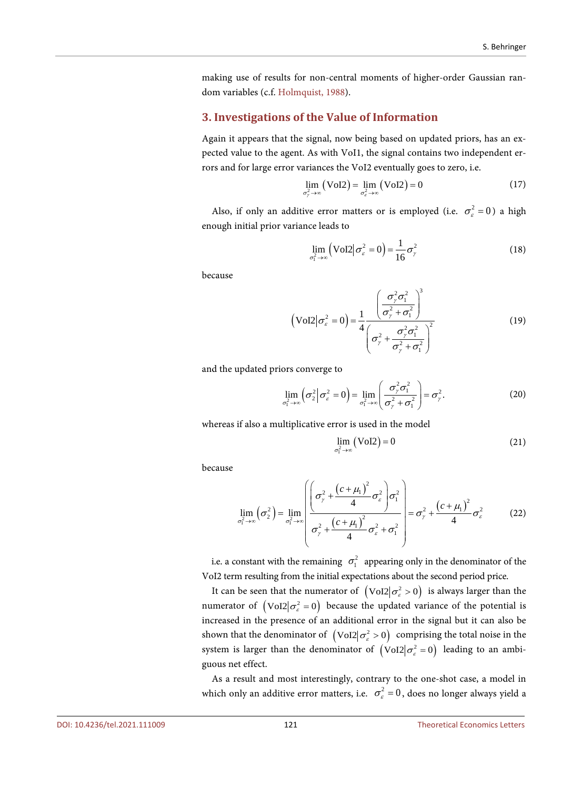making use of results for non-central moments of higher-order Gaussian random variables (c.f[. Holmquist,](#page-8-11) 1988).

#### **3. Investigations of the Value of Information**

Again it appears that the signal, now being based on updated priors, has an expected value to the agent. As with VoI1, the signal contains two independent errors and for large error variances the VoI2 eventually goes to zero, i.e.

$$
\lim_{\sigma_r^2 \to \infty} (Vol2) = \lim_{\sigma_c^2 \to \infty} (Vol2) = 0
$$
\n(17)

Also, if only an additive error matters or is employed (i.e.  $\sigma_{\varepsilon}^2 = 0$ ) a high enough initial prior variance leads to

$$
\lim_{\sigma_1^2 \to \infty} \left( \text{Vol2} \big| \sigma_\varepsilon^2 = 0 \right) = \frac{1}{16} \sigma_\gamma^2 \tag{18}
$$

because

$$
\left(\text{Vol2}\left(\sigma_{\varepsilon}^{2} = 0\right)\right) = \frac{1}{4} \frac{\left(\frac{\sigma_{\gamma}^{2} \sigma_{1}^{2}}{\sigma_{\gamma}^{2} + \sigma_{1}^{2}}\right)^{3}}{\left(\sigma_{\gamma}^{2} + \frac{\sigma_{\gamma}^{2} \sigma_{1}^{2}}{\sigma_{\gamma}^{2} + \sigma_{1}^{2}}\right)^{2}}
$$
(19)

and the updated priors converge to

$$
\lim_{\sigma_1^2 \to \infty} \left( \sigma_2^2 \middle| \sigma_\varepsilon^2 = 0 \right) = \lim_{\sigma_1^2 \to \infty} \left( \frac{\sigma_\gamma^2 \sigma_1^2}{\sigma_\gamma^2 + \sigma_1^2} \right) = \sigma_\gamma^2.
$$
 (20)

whereas if also a multiplicative error is used in the model

$$
\lim_{\sigma_1^2 \to \infty} (\text{Vol2}) = 0 \tag{21}
$$

because

$$
\lim_{\sigma_1^2 \to \infty} (\sigma_2^2) = \lim_{\sigma_1^2 \to \infty} \left( \frac{\left( \sigma_\gamma^2 + \frac{\left( c + \mu_1 \right)^2}{4} \sigma_\varepsilon^2 \right) \sigma_1^2}{\sigma_\gamma^2 + \frac{\left( c + \mu_1 \right)^2}{4} \sigma_\varepsilon^2 + \sigma_1^2} \right) = \sigma_\gamma^2 + \frac{\left( c + \mu_1 \right)^2}{4} \sigma_\varepsilon^2 \tag{22}
$$

i.e. a constant with the remaining  $\sigma_1^2$  appearing only in the denominator of the VoI2 term resulting from the initial expectations about the second period price.

It can be seen that the numerator of  $\left( \text{Vol2} | \sigma_{\epsilon}^2 > 0 \right)$  is always larger than the numerator of  $\left({\rm Vol2} | \sigma_{\varepsilon}^2 = 0\right)$  because the updated variance of the potential is increased in the presence of an additional error in the signal but it can also be shown that the denominator of  $\left( \text{Vol2} \mid \sigma_z^2 > 0 \right)$  comprising the total noise in the system is larger than the denominator of  $\left( \text{Vol2} \mid \sigma_{\varepsilon}^2 = 0 \right)$  leading to an ambiguous net effect.

As a result and most interestingly, contrary to the one-shot case, a model in which only an additive error matters, i.e.  $\sigma_{\varepsilon}^2 = 0$ , does no longer always yield a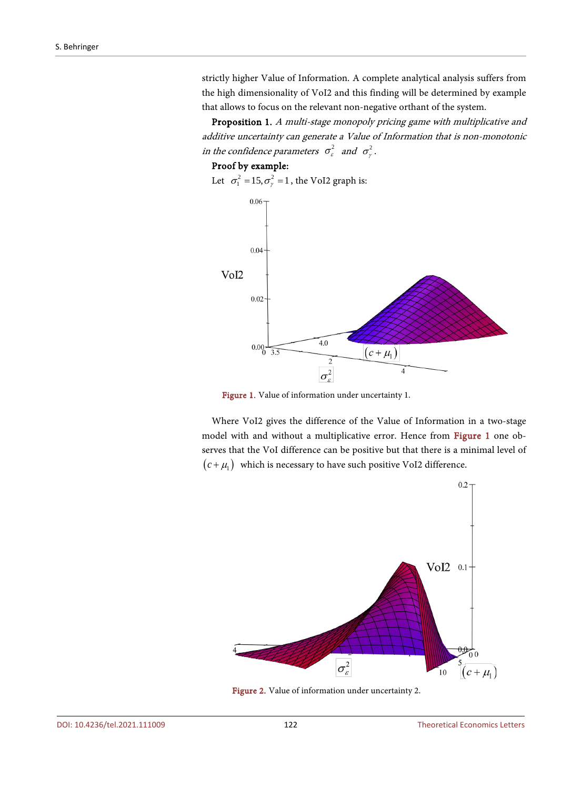strictly higher Value of Information. A complete analytical analysis suffers from the high dimensionality of VoI2 and this finding will be determined by example that allows to focus on the relevant non-negative orthant of the system.

Proposition 1. A multi-stage monopoly pricing game with multiplicative and additive uncertainty can generate a Value of Information that is non-monotonic in the confidence parameters  $\sigma_{\varepsilon}^2$  and  $\sigma_{\varepsilon}^2$ .

#### Proof by example:

<span id="page-6-0"></span>Let  $\sigma_1^2 = 15, \sigma_\gamma^2 = 1$ , the VoI2 graph is:



Figure 1. Value of information under uncertainty 1.

<span id="page-6-1"></span>Where VoI2 gives the difference of the Value of Information in a two-stage model with and without a multiplicative error. Hence from [Figure 1](#page-6-0) one observes that the VoI difference can be positive but that there is a minimal level of  $(c + \mu_1)$  which is necessary to have such positive VoI2 difference.



Figure 2. Value of information under uncertainty 2.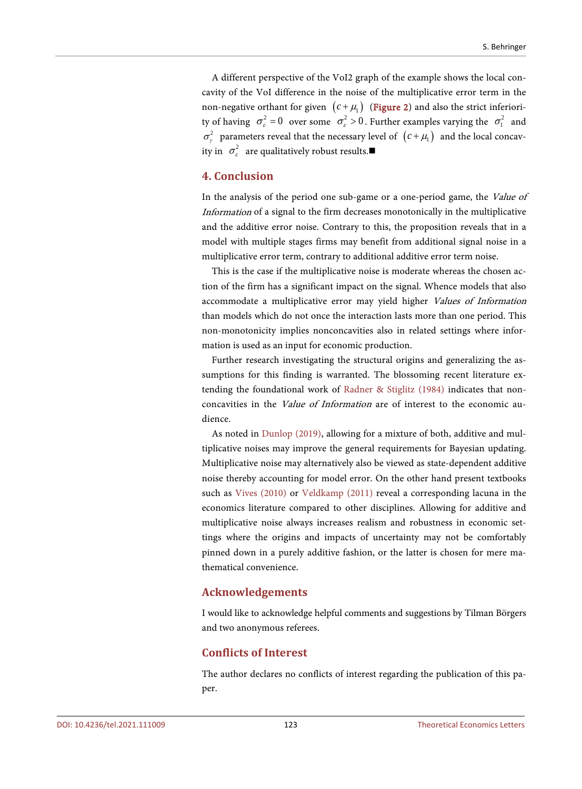A different perspective of the VoI2 graph of the example shows the local concavity of the VoI difference in the noise of the multiplicative error term in the non-negative orthant for given  $(c + \mu_1)$  [\(Figure 2\)](#page-6-1) and also the strict inferiority of having  $\sigma_s^2 = 0$  over some  $\sigma_s^2 > 0$ . Further examples varying the  $\sigma_1^2$  and  $\sigma_{\gamma}^2$  parameters reveal that the necessary level of  $(c + \mu_1)$  and the local concavity in  $\sigma_s^2$  are qualitatively robust results.

## **4. Conclusion**

In the analysis of the period one sub-game or a one-period game, the Value of Information of a signal to the firm decreases monotonically in the multiplicative and the additive error noise. Contrary to this, the proposition reveals that in a model with multiple stages firms may benefit from additional signal noise in a multiplicative error term, contrary to additional additive error term noise.

This is the case if the multiplicative noise is moderate whereas the chosen action of the firm has a significant impact on the signal. Whence models that also accommodate a multiplicative error may yield higher Values of Information than models which do not once the interaction lasts more than one period. This non-monotonicity implies nonconcavities also in related settings where information is used as an input for economic production.

Further research investigating the structural origins and generalizing the assumptions for this finding is warranted. The blossoming recent literature extending the foundational work of [Radner & Stiglitz \(1984\)](#page-8-6) indicates that nonconcavities in the Value of Information are of interest to the economic audience.

As noted in [Dunlop \(2019\),](#page-8-5) allowing for a mixture of both, additive and multiplicative noises may improve the general requirements for Bayesian updating. Multiplicative noise may alternatively also be viewed as state-dependent additive noise thereby accounting for model error. On the other hand present textbooks such as [Vives \(2010\)](#page-8-12) or [Veldkamp \(2011\)](#page-8-13) reveal a corresponding lacuna in the economics literature compared to other disciplines. Allowing for additive and multiplicative noise always increases realism and robustness in economic settings where the origins and impacts of uncertainty may not be comfortably pinned down in a purely additive fashion, or the latter is chosen for mere mathematical convenience.

#### **Acknowledgements**

I would like to acknowledge helpful comments and suggestions by Tilman Börgers and two anonymous referees.

## **Conflicts of Interest**

The author declares no conflicts of interest regarding the publication of this paper.